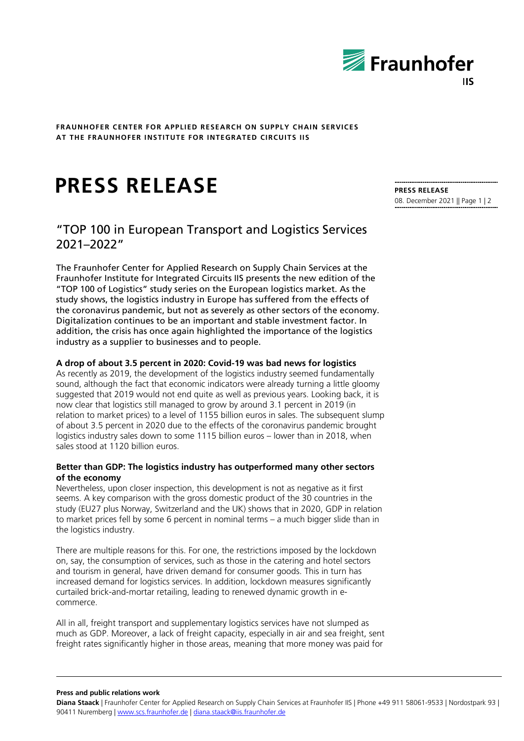

**FRAUNHOFER CENTER FOR APPLIED RESEARCH ON SUPPLY CHAIN SERVICES AT THE FRAUNHOFER INSTITUTE FOR INTEGRATED CIRCUITS IIS**

# **PRESS RELEASE**

## "TOP 100 in European Transport and Logistics Services 2021–2022"

The Fraunhofer Center for Applied Research on Supply Chain Services at the Fraunhofer Institute for Integrated Circuits IIS presents the new edition of the "TOP 100 of Logistics" study series on the European logistics market. As the study shows, the logistics industry in Europe has suffered from the effects of the coronavirus pandemic, but not as severely as other sectors of the economy. Digitalization continues to be an important and stable investment factor. In addition, the crisis has once again highlighted the importance of the logistics industry as a supplier to businesses and to people.

### **A drop of about 3.5 percent in 2020: Covid-19 was bad news for logistics**

As recently as 2019, the development of the logistics industry seemed fundamentally sound, although the fact that economic indicators were already turning a little gloomy suggested that 2019 would not end quite as well as previous years. Looking back, it is now clear that logistics still managed to grow by around 3.1 percent in 2019 (in relation to market prices) to a level of 1155 billion euros in sales. The subsequent slump of about 3.5 percent in 2020 due to the effects of the coronavirus pandemic brought logistics industry sales down to some 1115 billion euros – lower than in 2018, when sales stood at 1120 billion euros.

### **Better than GDP: The logistics industry has outperformed many other sectors of the economy**

Nevertheless, upon closer inspection, this development is not as negative as it first seems. A key comparison with the gross domestic product of the 30 countries in the study (EU27 plus Norway, Switzerland and the UK) shows that in 2020, GDP in relation to market prices fell by some 6 percent in nominal terms – a much bigger slide than in the logistics industry.

There are multiple reasons for this. For one, the restrictions imposed by the lockdown on, say, the consumption of services, such as those in the catering and hotel sectors and tourism in general, have driven demand for consumer goods. This in turn has increased demand for logistics services. In addition, lockdown measures significantly curtailed brick-and-mortar retailing, leading to renewed dynamic growth in ecommerce.

All in all, freight transport and supplementary logistics services have not slumped as much as GDP. Moreover, a lack of freight capacity, especially in air and sea freight, sent freight rates significantly higher in those areas, meaning that more money was paid for

**PRESS RELEASE** 08. December 2021 || Page 1 | 2

**Press and public relations work** 

**Diana Staack** | Fraunhofer Center for Applied Research on Supply Chain Services at Fraunhofer IIS | Phone +49 911 58061-9533 | Nordostpark 93 | 90411 Nuremberg [| www.scs.fraunhofer.de](http://www.scs.fraunhofer.de/) [| diana.staack@iis.fraunhofer.de](mailto:diana.staack@iis.fraunhofer.de)